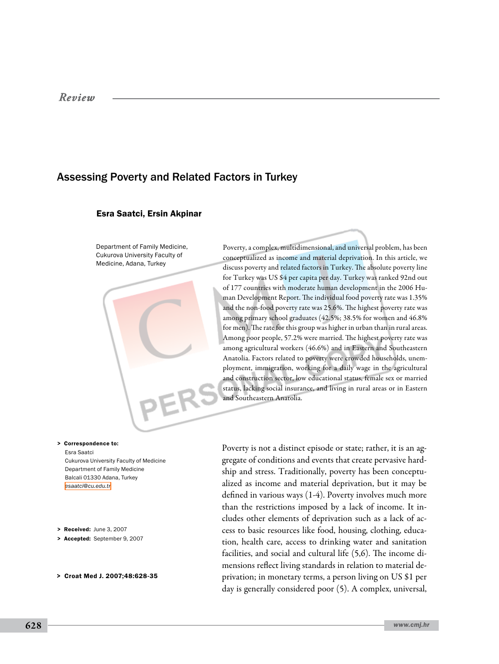# Assessing Poverty and Related Factors in Turkey

#### Esra Saatci, Ersin Akpinar

Department of Family Medicine, Cukurova University Faculty of Medicine, Adana, Turkey

Poverty, a complex, multidimensional, and universal problem, has been conceptualized as income and material deprivation. In this article, we discuss poverty and related factors in Turkey. The absolute poverty line for Turkey was US \$4 per capita per day. Turkey was ranked 92nd out of 177 countries with moderate human development in the 2006 Human Development Report. The individual food poverty rate was 1.35% and the non-food poverty rate was 25.6%. The highest poverty rate was among primary school graduates (42.5%; 38.5% for women and 46.8% for men). The rate for this group was higher in urban than in rural areas. Among poor people, 57.2% were married. The highest poverty rate was among agricultural workers (46.6%) and in Eastern and Southeastern Anatolia. Factors related to poverty were crowded households, unemployment, immigration, working for a daily wage in the agricultural and construction sector, low educational status, female sex or married status, lacking social insurance, and living in rural areas or in Eastern and Southeastern Anatolia.

Esra Saatci Cukurova University Faculty of Medicine Department of Family Medicine Balcali 01330 Adana, Turkey *[esaatci@cu.edu.tr](mailto: esaatci@cu.edu.tr )* > Correspondence to:

> Received: June 3, 2007

> Accepted: September 9, 2007

> Croat Med J. 2007;48:628-35

Poverty is not a distinct episode or state; rather, it is an aggregate of conditions and events that create pervasive hardship and stress. Traditionally, poverty has been conceptualized as income and material deprivation, but it may be defined in various ways (1-4). Poverty involves much more than the restrictions imposed by a lack of income. It includes other elements of deprivation such as a lack of access to basic resources like food, housing, clothing, education, health care, access to drinking water and sanitation facilities, and social and cultural life (5,6). The income dimensions reflect living standards in relation to material deprivation; in monetary terms, a person living on US \$1 per day is generally considered poor (5). A complex, universal,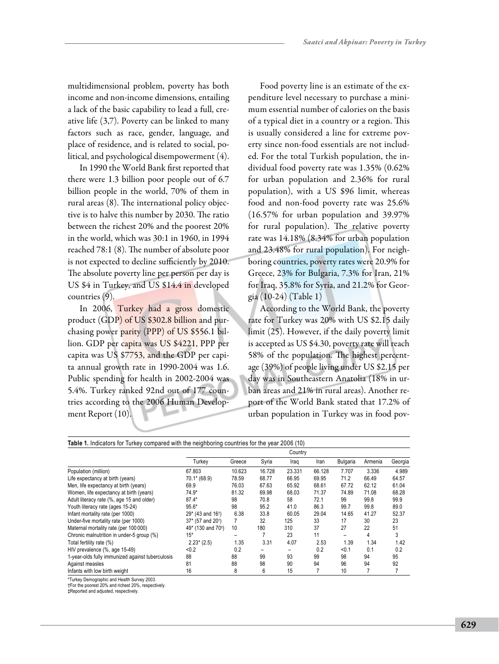multidimensional problem, poverty has both income and non-income dimensions, entailing a lack of the basic capability to lead a full, creative life (3,7). Poverty can be linked to many factors such as race, gender, language, and place of residence, and is related to social, political, and psychological disempowerment (4).

In 1990 the World Bank first reported that there were 1.3 billion poor people out of 6.7 billion people in the world, 70% of them in rural areas (8). The international policy objective is to halve this number by 2030. The ratio between the richest 20% and the poorest 20% in the world, which was 30:1 in 1960, in 1994 reached 78:1 (8). The number of absolute poor is not expected to decline sufficiently by 2010. The absolute poverty line per person per day is US \$4 in Turkey, and US \$14.4 in developed countries (9).

In 2006, Turkey had a gross domestic product (GDP) of US \$302.8 billion and purchasing power parity (PPP) of US \$556.1 billion. GDP per capita was US \$4221, PPP per capita was US \$7753, and the GDP per capita annual growth rate in 1990-2004 was 1.6. Public spending for health in 2002-2004 was 5.4%. Turkey ranked 92nd out of 177 countries according to the 2006 Human Development Report (10).

Food poverty line is an estimate of the expenditure level necessary to purchase a minimum essential number of calories on the basis of a typical diet in a country or a region. This is usually considered a line for extreme poverty since non-food essentials are not included. For the total Turkish population, the individual food poverty rate was 1.35% (0.62% for urban population and 2.36% for rural population), with a US \$96 limit, whereas food and non-food poverty rate was 25.6% (16.57% for urban population and 39.97% for rural population). The relative poverty rate was 14.18% (8.34% for urban population and 23.48% for rural population). For neighboring countries, poverty rates were 20.9% for Greece, 23% for Bulgaria, 7.3% for Iran, 21% for Iraq, 35.8% for Syria, and 21.2% for Georgia (10-24) (Table 1)

According to the World Bank, the poverty rate for Turkey was 20% with US \$2.15 daily limit (25). However, if the daily poverty limit is accepted as US \$4.30, poverty rate will reach 58% of the population. The highest percentage (39%) of people living under US \$2.15 per day was in Southeastern Anatolia (18% in urban areas and 21% in rural areas). Another report of the World Bank stated that 17.2% of urban population in Turkey was in food pov-

| <b>Table 1.</b> Indicators for Turkey compared with the neighboring countries for the year 2006 (10) |                                |        |        |        |        |          |         |         |  |  |
|------------------------------------------------------------------------------------------------------|--------------------------------|--------|--------|--------|--------|----------|---------|---------|--|--|
|                                                                                                      | Country                        |        |        |        |        |          |         |         |  |  |
|                                                                                                      | Turkey                         | Greece | Syria  | Iraq   | Iran   | Bulgaria | Armenia | Georgia |  |  |
| Population (million)                                                                                 | 67.803                         | 10.623 | 16.728 | 23.331 | 66.128 | 7.707    | 3.336   | 4.989   |  |  |
| Life expectancy at birth (years)                                                                     | $70.1* (68.9)$                 | 78.59  | 68.77  | 66.95  | 69.95  | 71.2     | 66.49   | 64.57   |  |  |
| Men, life expectancy at birth (years)                                                                | 69.9                           | 76.03  | 67.63  | 65.92  | 68.61  | 67.72    | 62.12   | 61.04   |  |  |
| Women, life expectancy at birth (years)                                                              | $74.9*$                        | 81.32  | 69.98  | 68.03  | 71.37  | 74.89    | 71.08   | 68.28   |  |  |
| Adult literacy rate (%, age 15 and older)                                                            | $87.4*$                        | 98     | 70.8   | 58     | 72.1   | 99       | 99.8    | 99.9    |  |  |
| Youth literacy rate (ages 15-24)                                                                     | $95.6*$                        | 98     | 95.2   | 41.0   | 86.3   | 99.7     | 99.8    | 89.0    |  |  |
| Infant mortality rate (per 1000)                                                                     | 29* (43 and 16 <sup>t</sup> )  | 6.38   | 33.8   | 60.05  | 29.04  | 14.65    | 41.27   | 52.37   |  |  |
| Under-five mortality rate (per 1000)                                                                 | 37* (57 and 20 <sup>t</sup> )  |        | 32     | 125    | 33     | 17       | 30      | 23      |  |  |
| Maternal mortality rate (per 100 000)                                                                | 49* (130 and 70 <sup>‡</sup> ) | 10     | 180    | 310    | 37     | 27       | 22      | 51      |  |  |
| Chronic malnutrition in under-5 group (%)                                                            | $15*$                          |        |        | 23     | 11     | -        | 4       | 3       |  |  |
| Total fertility rate (%)                                                                             | $2.23*(2.5)$                   | 1.35   | 3.31   | 4.07   | 2.53   | 1.39     | 1.34    | 1.42    |  |  |
| HIV prevalence (%, age 15-49)                                                                        | < 0.2                          | 0.2    |        | -      | 0.2    | < 0.1    | 0.1     | 0.2     |  |  |
| 1-year-olds fully immunized against tuberculosis                                                     | 88                             | 88     | 99     | 93     | 99     | 98       | 94      | 95      |  |  |
| Against measles                                                                                      | 81                             | 88     | 98     | 90     | 94     | 96       | 94      | 92      |  |  |
| Infants with low birth weight                                                                        | 16                             | 8      | 6      | 15     |        | 10       |         |         |  |  |

\*Turkey Demographic and Health Survey 2003.

†For the poorest 20% and richest 20%, respectively. ‡Reported and adjusted, respectively.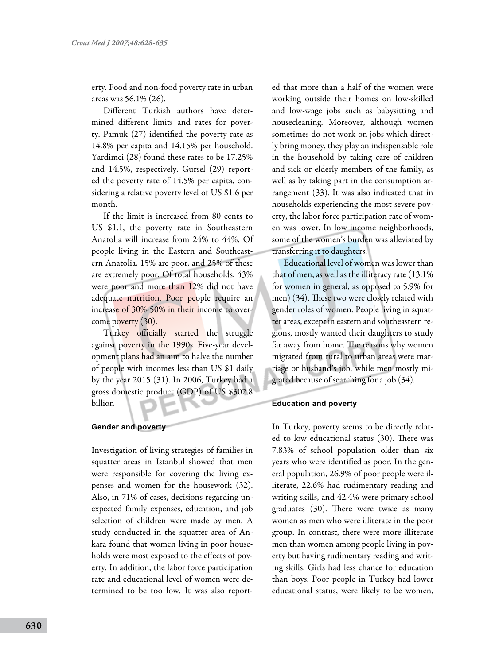erty. Food and non-food poverty rate in urban areas was 56.1% (26).

Different Turkish authors have determined different limits and rates for poverty. Pamuk (27) identified the poverty rate as 14.8% per capita and 14.15% per household. Yardimci (28) found these rates to be 17.25% and 14.5%, respectively. Gursel (29) reported the poverty rate of 14.5% per capita, considering a relative poverty level of US \$1.6 per month.

If the limit is increased from 80 cents to US \$1.1, the poverty rate in Southeastern Anatolia will increase from 24% to 44%. Of people living in the Eastern and Southeastern Anatolia, 15% are poor, and 25% of these are extremely poor. Of total households, 43% were poor and more than 12% did not have adequate nutrition. Poor people require an increase of 30%-50% in their income to overcome poverty (30).

Turkey officially started the struggle against poverty in the 1990s. Five-year development plans had an aim to halve the number of people with incomes less than US \$1 daily by the year 2015 (31). In 2006, Turkey had a gross domestic product (GDP) of US \$302.8 billion

### **Gender and poverty**

Investigation of living strategies of families in squatter areas in Istanbul showed that men were responsible for covering the living expenses and women for the housework (32). Also, in 71% of cases, decisions regarding unexpected family expenses, education, and job selection of children were made by men. A study conducted in the squatter area of Ankara found that women living in poor households were most exposed to the effects of poverty. In addition, the labor force participation rate and educational level of women were determined to be too low. It was also reported that more than a half of the women were working outside their homes on low-skilled and low-wage jobs such as babysitting and housecleaning. Moreover, although women sometimes do not work on jobs which directly bring money, they play an indispensable role in the household by taking care of children and sick or elderly members of the family, as well as by taking part in the consumption arrangement (33). It was also indicated that in households experiencing the most severe poverty, the labor force participation rate of women was lower. In low income neighborhoods, some of the women's burden was alleviated by transferring it to daughters.

Educational level of women was lower than that of men, as well as the illiteracy rate (13.1% for women in general, as opposed to 5.9% for men) (34). These two were closely related with gender roles of women. People living in squatter areas, except in eastern and southeastern regions, mostly wanted their daughters to study far away from home. The reasons why women migrated from rural to urban areas were marriage or husband's job, while men mostly migrated because of searching for a job (34).

# **Education and poverty**

In Turkey, poverty seems to be directly related to low educational status (30). There was 7.83% of school population older than six years who were identified as poor. In the general population, 26.9% of poor people were illiterate, 22.6% had rudimentary reading and writing skills, and 42.4% were primary school graduates (30). There were twice as many women as men who were illiterate in the poor group. In contrast, there were more illiterate men than women among people living in poverty but having rudimentary reading and writing skills. Girls had less chance for education than boys. Poor people in Turkey had lower educational status, were likely to be women,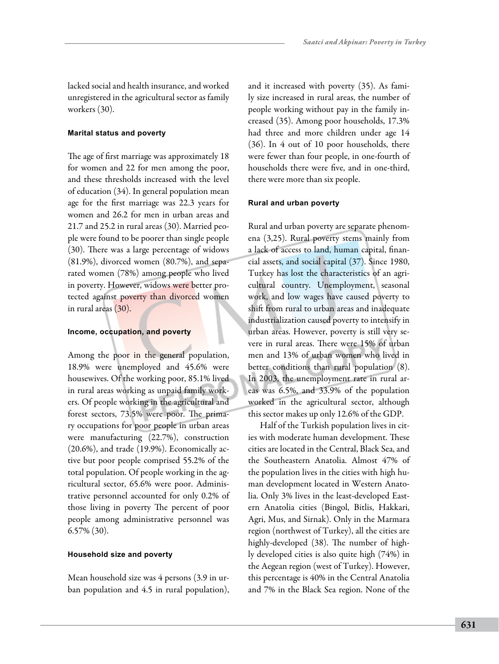lacked social and health insurance, and worked unregistered in the agricultural sector as family workers (30).

## **Marital status and poverty**

The age of first marriage was approximately 18 for women and 22 for men among the poor, and these thresholds increased with the level of education (34). In general population mean age for the first marriage was 22.3 years for women and 26.2 for men in urban areas and 21.7 and 25.2 in rural areas (30). Married people were found to be poorer than single people (30). There was a large percentage of widows (81.9%), divorced women (80.7%), and separated women (78%) among people who lived in poverty. However, widows were better protected against poverty than divorced women in rural areas (30).

#### **Income, occupation, and poverty**

Among the poor in the general population, 18.9% were unemployed and 45.6% were housewives. Of the working poor, 85.1% lived in rural areas working as unpaid family workers. Of people working in the agricultural and forest sectors, 73.5% were poor. The primary occupations for poor people in urban areas were manufacturing (22.7%), construction (20.6%), and trade (19.9%). Economically active but poor people comprised 55.2% of the total population. Of people working in the agricultural sector, 65.6% were poor. Administrative personnel accounted for only 0.2% of those living in poverty The percent of poor people among administrative personnel was 6.57% (30).

#### **Household size and poverty**

Mean household size was 4 persons (3.9 in urban population and 4.5 in rural population), and it increased with poverty (35). As family size increased in rural areas, the number of people working without pay in the family increased (35). Among poor households, 17.3% had three and more children under age 14 (36). In 4 out of 10 poor households, there were fewer than four people, in one-fourth of households there were five, and in one-third, there were more than six people.

### **Rural and urban poverty**

Rural and urban poverty are separate phenomena (3,25). Rural poverty stems mainly from a lack of access to land, human capital, financial assets, and social capital (37). Since 1980, Turkey has lost the characteristics of an agricultural country. Unemployment, seasonal work, and low wages have caused poverty to shift from rural to urban areas and inadequate industrialization caused poverty to intensify in urban areas. However, poverty is still very severe in rural areas. There were 15% of urban men and 13% of urban women who lived in better conditions than rural population (8). In 2003, the unemployment rate in rural areas was 6.5%, and 33.9% of the population worked in the agricultural sector, although this sector makes up only 12.6% of the GDP.

Half of the Turkish population lives in cities with moderate human development. These cities are located in the Central, Black Sea, and the Southeastern Anatolia. Almost 47% of the population lives in the cities with high human development located in Western Anatolia. Only 3% lives in the least-developed Eastern Anatolia cities (Bingol, Bitlis, Hakkari, Agri, Mus, and Sirnak). Only in the Marmara region (northwest of Turkey), all the cities are highly-developed (38). The number of highly developed cities is also quite high (74%) in the Aegean region (west of Turkey). However, this percentage is 40% in the Central Anatolia and 7% in the Black Sea region. None of the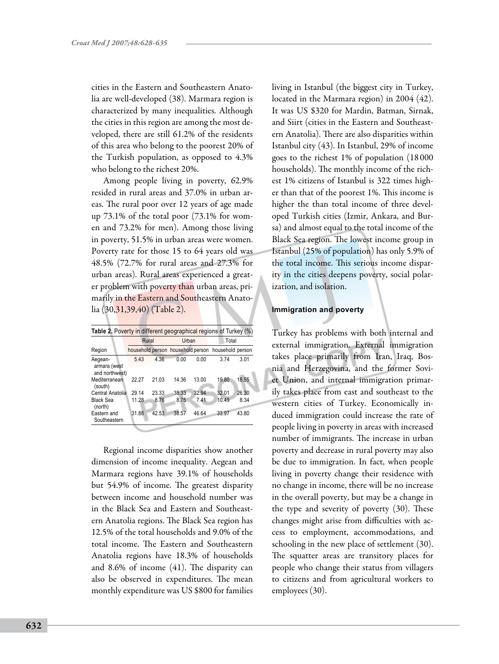cities in the Eastern and Southeastern Anatolia are well-developed (38). Marmara region is characterized by many inequalities. Although the cities in this region are among the most developed, there are still 61.2% of the residents of this area who belong to the poorest 20% of the Turkish population, as opposed to 4.3% who belong to the richest 20%.

Among people living in poverty, 62.9% resided in rural areas and 37.0% in urban areas. The rural poor over 12 years of age made up 73.1% of the total poor (73.1% for women and 73.2% for men). Among those living in poverty, 51.5% in urban areas were women. Poverty rate for those 15 to 64 years old was 48.5% (72.7% for rural areas and 27.3% for urban areas). Rural areas experienced a greater problem with poverty than urban areas, primarily in the Eastern and Southeastern Anatolia (30,31,39,40) (Table 2).

| <b>Table 2.</b> Poverty in different geographical regions of Turkey (%) |       |       |       |       |                                                    |       |  |  |  |  |  |  |
|-------------------------------------------------------------------------|-------|-------|-------|-------|----------------------------------------------------|-------|--|--|--|--|--|--|
|                                                                         |       | Rural | Urban |       | Total                                              |       |  |  |  |  |  |  |
| Region                                                                  |       |       |       |       | household person household person household person |       |  |  |  |  |  |  |
| Aegean-<br>armara (west<br>and northwest)                               | 5.43  | 4.36  | 0.00  | 0.00  | 3.74                                               | 3.01  |  |  |  |  |  |  |
| Mediterranean<br>(south)                                                | 22.27 | 21.03 | 14.36 | 13.00 | 19.80                                              | 18.55 |  |  |  |  |  |  |
| Central Anatolia                                                        | 29.14 | 23.33 | 38.33 | 32.94 | 32.01                                              | 26.30 |  |  |  |  |  |  |
| <b>Black Sea</b><br>(north)                                             | 11.28 | 8.76  | 8.75  | 741   | 10.49                                              | 8.34  |  |  |  |  |  |  |
| Eastern and<br>Southeastern                                             | 31.88 | 42.53 | 38.57 | 46.64 | 33.97                                              | 43.80 |  |  |  |  |  |  |

Regional income disparities show another dimension of income inequality. Aegean and Marmara regions have 39.1% of households but 54.9% of income. The greatest disparity between income and household number was in the Black Sea and Eastern and Southeastern Anatolia regions. The Black Sea region has 12.5% of the total households and 9.0% of the total income. The Eastern and Southeastern Anatolia regions have 18.3% of households and 8.6% of income (41). The disparity can also be observed in expenditures. The mean monthly expenditure was US \$800 for families living in Istanbul (the biggest city in Turkey, located in the Marmara region) in 2004 (42). It was US \$320 for Mardin, Batman, Sirnak, and Siirt (cities in the Eastern and Southeastern Anatolia). There are also disparities within Istanbul city (43). In Istanbul, 29% of income goes to the richest 1% of population (18 000 households). The monthly income of the richest 1% citizens of Istanbul is 322 times higher than that of the poorest 1%. This income is higher the than total income of three developed Turkish cities (Izmir, Ankara, and Bursa) and almost equal to the total income of the Black Sea region. The lowest income group in Istanbul (25% of population) has only 5.9% of the total income. This serious income disparity in the cities deepens poverty, social polarization, and isolation.

#### **Immigration and poverty**

Turkey has problems with both internal and external immigration. External immigration takes place primarily from Iran, Iraq, Bosnia and Herzegovina, and the former Soviet Union, and internal immigration primarily takes place from east and southeast to the western cities of Turkey. Economically induced immigration could increase the rate of people living in poverty in areas with increased number of immigrants. The increase in urban poverty and decrease in rural poverty may also be due to immigration. In fact, when people living in poverty change their residence with no change in income, there will be no increase in the overall poverty, but may be a change in the type and severity of poverty (30). These changes might arise from difficulties with access to employment, accommodations, and schooling in the new place of settlement (30). The squatter areas are transitory places for people who change their status from villagers to citizens and from agricultural workers to employees (30).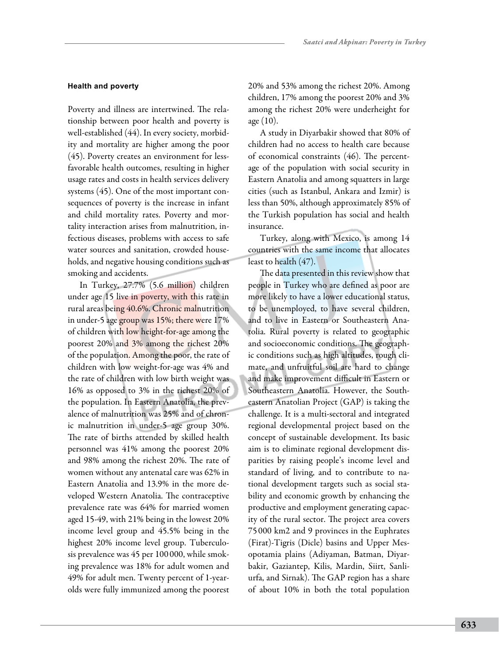# **Health and poverty**

Poverty and illness are intertwined. The relationship between poor health and poverty is well-established (44). In every society, morbidity and mortality are higher among the poor (45). Poverty creates an environment for lessfavorable health outcomes, resulting in higher usage rates and costs in health services delivery systems (45). One of the most important consequences of poverty is the increase in infant and child mortality rates. Poverty and mortality interaction arises from malnutrition, infectious diseases, problems with access to safe water sources and sanitation, crowded households, and negative housing conditions such as smoking and accidents.

In Turkey, 27.7% (5.6 million) children under age 15 live in poverty, with this rate in rural areas being 40.6%. Chronic malnutrition in under-5 age group was 15%; there were 17% of children with low height-for-age among the poorest 20% and 3% among the richest 20% of the population. Among the poor, the rate of children with low weight-for-age was 4% and the rate of children with low birth weight was 16% as opposed to 3% in the richest 20% of the population. In Eastern Anatolia, the prevalence of malnutrition was 25% and of chronic malnutrition in under-5 age group 30%. The rate of births attended by skilled health personnel was 41% among the poorest 20% and 98% among the richest 20%. The rate of women without any antenatal care was 62% in Eastern Anatolia and 13.9% in the more developed Western Anatolia. The contraceptive prevalence rate was 64% for married women aged 15-49, with 21% being in the lowest 20% income level group and 45.5% being in the highest 20% income level group. Tuberculosis prevalence was 45 per 100 000, while smoking prevalence was 18% for adult women and 49% for adult men. Twenty percent of 1-yearolds were fully immunized among the poorest

20% and 53% among the richest 20%. Among children, 17% among the poorest 20% and 3% among the richest 20% were underheight for age  $(10)$ .

A study in Diyarbakir showed that 80% of children had no access to health care because of economical constraints (46). The percentage of the population with social security in Eastern Anatolia and among squatters in large cities (such as Istanbul, Ankara and Izmir) is less than 50%, although approximately 85% of the Turkish population has social and health insurance.

Turkey, along with Mexico, is among 14 countries with the same income that allocates least to health (47).

The data presented in this review show that people in Turkey who are defined as poor are more likely to have a lower educational status, to be unemployed, to have several children, and to live in Eastern or Southeastern Anatolia. Rural poverty is related to geographic and socioeconomic conditions. The geographic conditions such as high altitudes, rough climate, and unfruitful soil are hard to change and make improvement difficult in Eastern or Southeastern Anatolia. However, the Southeastern Anatolian Project (GAP) is taking the challenge. It is a multi-sectoral and integrated regional developmental project based on the concept of sustainable development. Its basic aim is to eliminate regional development disparities by raising people's income level and standard of living, and to contribute to national development targets such as social stability and economic growth by enhancing the productive and employment generating capacity of the rural sector. The project area covers 75 000 km2 and 9 provinces in the Euphrates (Firat)-Tigris (Dicle) basins and Upper Mesopotamia plains (Adiyaman, Batman, Diyarbakir, Gaziantep, Kilis, Mardin, Siirt, Sanliurfa, and Sirnak). The GAP region has a share of about 10% in both the total population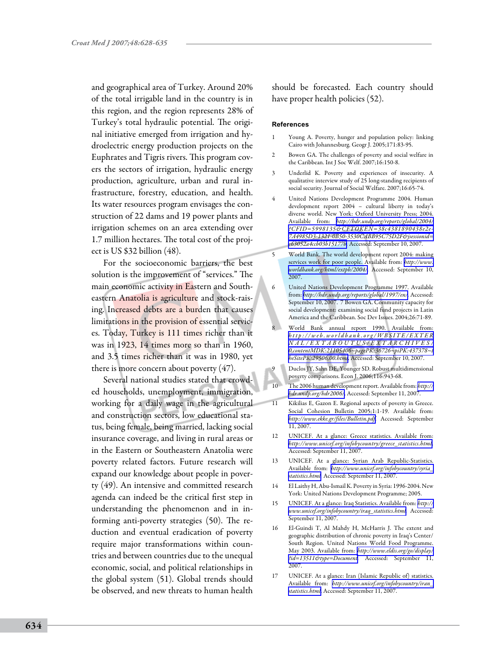and geographical area of Turkey. Around 20% of the total irrigable land in the country is in this region, and the region represents 28% of Turkey's total hydraulic potential. The original initiative emerged from irrigation and hydroelectric energy production projects on the Euphrates and Tigris rivers. This program covers the sectors of irrigation, hydraulic energy production, agriculture, urban and rural infrastructure, forestry, education, and health. Its water resources program envisages the construction of 22 dams and 19 power plants and irrigation schemes on an area extending over 1.7 million hectares. The total cost of the project is US \$32 billion (48).

For the socioeconomic barriers, the best solution is the improvement of "services." The main economic activity in Eastern and Southeastern Anatolia is agriculture and stock-raising. Increased debts are a burden that causes limitations in the provision of essential services. Today, Turkey is 111 times richer than it was in 1923, 14 times more so than in 1960, and 3.5 times richer than it was in 1980, yet there is more concern about poverty (47).

Several national studies stated that crowded households, unemployment, immigration, working for a daily wage in the agricultural and construction sectors, low educational status, being female, being married, lacking social insurance coverage, and living in rural areas or in the Eastern or Southeastern Anatolia were poverty related factors. Future research will expand our knowledge about people in poverty (49). An intensive and committed research agenda can indeed be the critical first step in understanding the phenomenon and in informing anti-poverty strategies (50). The reduction and eventual eradication of poverty require major transformations within countries and between countries due to the unequal economic, social, and political relationships in the global system (51). Global trends should be observed, and new threats to human health

should be forecasted. Each country should have proper health policies (52).

#### **References**

- Young A. Poverty, hunger and population policy: linking Cairo with Johannesburg. Geogr J. 2005;171:83-95.
- 2 Bowen GA. The challenges of poverty and social welfare in the Caribbean. Int J Soc Welf. 2007;16:150-8.
- 3 Underlid K. Poverty and experiences of insecurity. A qualitative interview study of 25 long-standing recipients of social security. Journal of Social Welfare. 2007;16:65-74.
- 4 United Nations Development Programme 2004. Human development report 2004 – cultural liberty in today's diverse world. New York: Oxford University Press; 2004. Available from: *[http://hdr.undp.org/reports/global/2004/](http://hdr.undp.org/reports/global/2004/?CFID=5998135&CFTOKEN=38c4381890438e2e-7A4985D3-1321-0B50-3530CABB95C75D2F&jsessionid=e63052a4ccb03b15177b) [?CFID=5998135&CFTOKEN=38c4381890438e2e-](http://hdr.undp.org/reports/global/2004/?CFID=5998135&CFTOKEN=38c4381890438e2e-7A4985D3-1321-0B50-3530CABB95C75D2F&jsessionid=e63052a4ccb03b15177b)[7A4985D3-1321-0B50-3530CABB95C75D2F&jsessionid=](http://hdr.undp.org/reports/global/2004/?CFID=5998135&CFTOKEN=38c4381890438e2e-7A4985D3-1321-0B50-3530CABB95C75D2F&jsessionid=e63052a4ccb03b15177b) [e63052a4ccb03b15177b.](http://hdr.undp.org/reports/global/2004/?CFID=5998135&CFTOKEN=38c4381890438e2e-7A4985D3-1321-0B50-3530CABB95C75D2F&jsessionid=e63052a4ccb03b15177b)* Accessed: September 10, 2007.
- 5 World Bank. The world development report 2004: making services work for poor people. Available from: *[http://www.](http://www.worldbank.org/html/extpb/2004/) [worldbank.org/html/extpb/2004/.](http://www.worldbank.org/html/extpb/2004/)* Accessed: September 10, 2007.
- 6 United Nations Development Programme 1997. Available from: *[http://hdr.undp.org/reports/global/1997/en/.](http://hdr.undp.org/reports/global/1997/en/)* Accessed: September 10, 2007. 7 Bowen GA. Community capacity for social development: examining social fund projects in Latin America and the Caribbean. Soc Dev Issues. 2004;26:71-89.
- World Bank annual report 1990. Available from: *[h t t p : / / w e b . w o r l d b a n k . o r g / W B S I T E / E X T E R](http://web.worldbank.org/WBSITE/EXTERNAL/EXTABOUTUS/EXTARCHIVES/ 0,contentMDK:21105406~pagePK:36726~piPK:437378~theSitePK:29506,00.html) [N A L / E X T A B O U T U S / E X T A R C H I V E S /](http://web.worldbank.org/WBSITE/EXTERNAL/EXTABOUTUS/EXTARCHIVES/ 0,contentMDK:21105406~pagePK:36726~piPK:437378~theSitePK:29506,00.html) [0,contentMDK:21105406~pagePK:36726~piPK:437378~t](http://web.worldbank.org/WBSITE/EXTERNAL/EXTABOUTUS/EXTARCHIVES/ 0,contentMDK:21105406~pagePK:36726~piPK:437378~theSitePK:29506,00.html) [heSitePK:29506,00.html](http://web.worldbank.org/WBSITE/EXTERNAL/EXTABOUTUS/EXTARCHIVES/ 0,contentMDK:21105406~pagePK:36726~piPK:437378~theSitePK:29506,00.html)*. Accessed: September 10, 2007.
- 9 Duclos JY, Sahn DE, Younger SD. Robust multidimensional poverty comparisons. Econ J. 2006;116:943-68.
- 10 The 2006 human development report. Available from: *[http://](http://hdr.undp.org/hdr2006/) [hdr.undp.org/hdr2006/](http://hdr.undp.org/hdr2006/)*. Accessed: September 11, 2007.
- 11 Kikilias E, Gazon E. Regional aspects of poverty in Greece. Social Cohesion Bulletin 2005;1:1-19. Available from: *<http://www.ekke.gr/files/Bulletin.pdf>*. Accessed: September 11, 2007.
- 12 UNICEF. At a glance: Greece statistics. Available from: *[http://www.unicef.org/infobycountry/greece\\_statistics.html](http://www.unicef.org/infobycountry/greece_statistics.html)*. Accessed: September 11, 2007.
- 13 UNICEF. At a glance: Syrian Arab Republic-Statistics. Available from: *[http://www.unicef.org/infobycountry/syria\\_](http://www.unicef.org/infobycountry/syria_statistics.html) [statistics.html.](http://www.unicef.org/infobycountry/syria_statistics.html)* Accessed: September 11, 2007.
- 14 El Laithy H, Abu-Ismail K. Poverty in Syria: 1996-2004. New York: United Nations Development Programme; 2005.
- 15 UNICEF. At a glance: Iraq Statistics. Available from: *[http://](http://www.unicef.org/infobycountry/iraq_statistics.html) [www.unicef.org/infobycountry/iraq\\_statistics.html.](http://www.unicef.org/infobycountry/iraq_statistics.html)* Accessed: September 11, 2007.
- 16 El-Guindi T, Al Mahdy H, McHarris J. The extent and geographic distribution of chronic poverty in Iraq's Center/ South Region. United Nations World Food Programme. May 2003. Available from: *[http://www.eldis.org/go/display/](http://www.eldis.org/go/display/?id=13511&type=Document) [?id=13511&type=Document.](http://www.eldis.org/go/display/?id=13511&type=Document)* Accessed: September 11, 2007.
- 17 UNICEF. At a glance: Iran (Islamic Republic of) statistics. Available from: *[http://www.unicef.org/infobycountry/iran\\_](http://www.unicef.org/infobycountry/iran_statistics.html) [statistics.html](http://www.unicef.org/infobycountry/iran_statistics.html)*. Accessed: September 11, 2007.